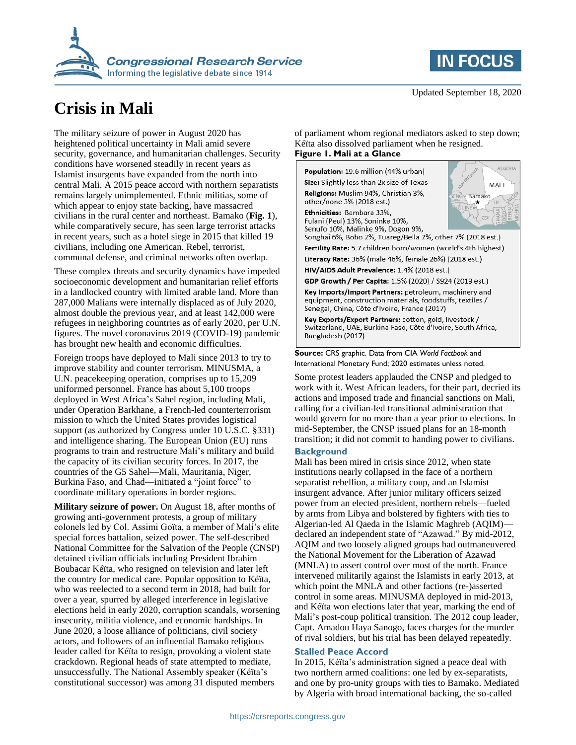



# **Crisis in Mali**

The military seizure of power in August 2020 has heightened political uncertainty in Mali amid severe security, governance, and humanitarian challenges. Security conditions have worsened steadily in recent years as Islamist insurgents have expanded from the north into central Mali. A 2015 peace accord with northern separatists remains largely unimplemented. Ethnic militias, some of which appear to enjoy state backing, have massacred civilians in the rural center and northeast. Bamako (**Fig. 1**), while comparatively secure, has seen large terrorist attacks in recent years, such as a hotel siege in 2015 that killed 19 civilians, including one American. Rebel, terrorist, communal defense, and criminal networks often overlap.

These complex threats and security dynamics have impeded socioeconomic development and humanitarian relief efforts in a landlocked country with limited arable land. More than 287,000 Malians were internally displaced as of July 2020, almost double the previous year, and at least 142,000 were refugees in neighboring countries as of early 2020, per U.N. figures. The novel coronavirus 2019 (COVID-19) pandemic has brought new health and economic difficulties.

Foreign troops have deployed to Mali since 2013 to try to improve stability and counter terrorism. MINUSMA, a U.N. peacekeeping operation, comprises up to 15,209 uniformed personnel. France has about 5,100 troops deployed in West Africa's Sahel region, including Mali, under Operation Barkhane, a French-led counterterrorism mission to which the United States provides logistical support (as authorized by Congress under 10 U.S.C. §331) and intelligence sharing. The European Union (EU) runs programs to train and restructure Mali's military and build the capacity of its civilian security forces. In 2017, the countries of the G5 Sahel—Mali, Mauritania, Niger, Burkina Faso, and Chad—initiated a "joint force" to coordinate military operations in border regions.

**Military seizure of power.** On August 18, after months of growing anti-government protests, a group of military colonels led by Col. Assimi Goïta, a member of Mali's elite special forces battalion, seized power. The self-described National Committee for the Salvation of the People (CNSP) detained civilian officials including President Ibrahim Boubacar Kéïta, who resigned on television and later left the country for medical care. Popular opposition to Kéïta, who was reelected to a second term in 2018, had built for over a year, spurred by alleged interference in legislative elections held in early 2020, corruption scandals, worsening insecurity, militia violence, and economic hardships. In June 2020, a loose alliance of politicians, civil society actors, and followers of an influential Bamako religious leader called for Kéïta to resign, provoking a violent state crackdown. Regional heads of state attempted to mediate, unsuccessfully. The National Assembly speaker (Kéïta's constitutional successor) was among 31 disputed members

of parliament whom regional mediators asked to step down; Kéïta also dissolved parliament when he resigned. **Figure 1. Mali at a Glance**

Population: 19.6 million (44% urban) Size: Slightly less than 2x size of Texas Religions: Muslim 94%, Christian 3%, other/none 3% (2018 est.)

Ethnicities: Bambara 33%, Fulani (Peul) 13%, Soninke 10%, Senufo 10%, Malinke 9%, Dogon 9%,



Songhai 6%, Bobo 2%, Tuareg/Bella 2%, other 7% (2018 est.) Fertility Rate: 5.7 children born/women (world's 4th highest)

Literacy Rate: 36% (male 46%, female 26%) (2018 est.)

HIV/AIDS Adult Prevalence: 1.4% (2018 est.)

GDP Growth / Per Capita: 1.5% (2020) / \$924 (2019 est.)

Key Imports/Import Partners: petroleum, machinery and equipment, construction materials, foodstuffs, textiles / Senegal, China, Côte d'Ivoire, France (2017)

Key Exports/Export Partners: cotton, gold, livestock / Switzerland, UAE, Burkina Faso, Côte d'Ivoire, South Africa, Bangladesh (2017)

**Source:** CRS graphic. Data from CIA *World Factbook* and International Monetary Fund; 2020 estimates unless noted.

Some protest leaders applauded the CNSP and pledged to work with it. West African leaders, for their part, decried its actions and imposed trade and financial sanctions on Mali, calling for a civilian-led transitional administration that would govern for no more than a year prior to elections. In mid-September, the CNSP issued plans for an 18-month transition; it did not commit to handing power to civilians.

# **Background**

Mali has been mired in crisis since 2012, when state institutions nearly collapsed in the face of a northern separatist rebellion, a military coup, and an Islamist insurgent advance. After junior military officers seized power from an elected president, northern rebels—fueled by arms from Libya and bolstered by fighters with ties to Algerian-led Al Qaeda in the Islamic Maghreb (AQIM) declared an independent state of "Azawad." By mid-2012, AQIM and two loosely aligned groups had outmaneuvered the National Movement for the Liberation of Azawad (MNLA) to assert control over most of the north. France intervened militarily against the Islamists in early 2013, at which point the MNLA and other factions (re-)asserted control in some areas. MINUSMA deployed in mid-2013, and Kéïta won elections later that year, marking the end of Mali's post-coup political transition. The 2012 coup leader, Capt. Amadou Haya Sanogo, faces charges for the murder of rival soldiers, but his trial has been delayed repeatedly.

# **Stalled Peace Accord**

In 2015, Kéïta's administration signed a peace deal with two northern armed coalitions: one led by ex-separatists, and one by pro-unity groups with ties to Bamako. Mediated by Algeria with broad international backing, the so-called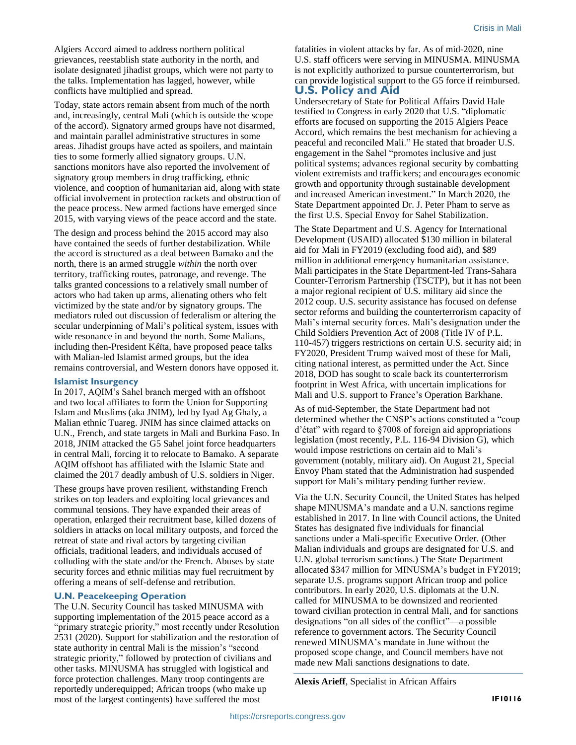Algiers Accord aimed to address northern political grievances, reestablish state authority in the north, and isolate designated jihadist groups, which were not party to the talks. Implementation has lagged, however, while conflicts have multiplied and spread.

Today, state actors remain absent from much of the north and, increasingly, central Mali (which is outside the scope of the accord). Signatory armed groups have not disarmed, and maintain parallel administrative structures in some areas. Jihadist groups have acted as spoilers, and maintain ties to some formerly allied signatory groups. U.N. sanctions monitors have also reported the involvement of signatory group members in drug trafficking, ethnic violence, and cooption of humanitarian aid, along with state official involvement in protection rackets and obstruction of the peace process. New armed factions have emerged since 2015, with varying views of the peace accord and the state.

The design and process behind the 2015 accord may also have contained the seeds of further destabilization. While the accord is structured as a deal between Bamako and the north, there is an armed struggle *within* the north over territory, trafficking routes, patronage, and revenge. The talks granted concessions to a relatively small number of actors who had taken up arms, alienating others who felt victimized by the state and/or by signatory groups. The mediators ruled out discussion of federalism or altering the secular underpinning of Mali's political system, issues with wide resonance in and beyond the north. Some Malians, including then-President Kéïta, have proposed peace talks with Malian-led Islamist armed groups, but the idea remains controversial, and Western donors have opposed it.

#### **Islamist Insurgency**

In 2017, AQIM's Sahel branch merged with an offshoot and two local affiliates to form the Union for Supporting Islam and Muslims (aka JNIM), led by Iyad Ag Ghaly, a Malian ethnic Tuareg. JNIM has since claimed attacks on U.N., French, and state targets in Mali and Burkina Faso. In 2018, JNIM attacked the G5 Sahel joint force headquarters in central Mali, forcing it to relocate to Bamako. A separate AQIM offshoot has affiliated with the Islamic State and claimed the 2017 deadly ambush of U.S. soldiers in Niger.

These groups have proven resilient, withstanding French strikes on top leaders and exploiting local grievances and communal tensions. They have expanded their areas of operation, enlarged their recruitment base, killed dozens of soldiers in attacks on local military outposts, and forced the retreat of state and rival actors by targeting civilian officials, traditional leaders, and individuals accused of colluding with the state and/or the French. Abuses by state security forces and ethnic militias may fuel recruitment by offering a means of self-defense and retribution.

# **U.N. Peacekeeping Operation**

The U.N. Security Council has tasked MINUSMA with supporting implementation of the 2015 peace accord as a "primary strategic priority," most recently under Resolution 2531 (2020). Support for stabilization and the restoration of state authority in central Mali is the mission's "second strategic priority," followed by protection of civilians and other tasks. MINUSMA has struggled with logistical and force protection challenges. Many troop contingents are reportedly underequipped; African troops (who make up most of the largest contingents) have suffered the most

fatalities in violent attacks by far. As of mid-2020, nine U.S. staff officers were serving in MINUSMA. MINUSMA is not explicitly authorized to pursue counterterrorism, but can provide logistical support to the G5 force if reimbursed. **U.S. Policy and Aid**

Undersecretary of State for Political Affairs David Hale testified to Congress in early 2020 that U.S. "diplomatic efforts are focused on supporting the 2015 Algiers Peace Accord, which remains the best mechanism for achieving a peaceful and reconciled Mali." He stated that broader U.S. engagement in the Sahel "promotes inclusive and just political systems; advances regional security by combatting violent extremists and traffickers; and encourages economic growth and opportunity through sustainable development and increased American investment." In March 2020, the State Department appointed Dr. J. Peter Pham to serve as the first U.S. Special Envoy for Sahel Stabilization.

The State Department and U.S. Agency for International Development (USAID) allocated \$130 million in bilateral aid for Mali in FY2019 (excluding food aid), and \$89 million in additional emergency humanitarian assistance. Mali participates in the State Department-led Trans-Sahara Counter-Terrorism Partnership (TSCTP), but it has not been a major regional recipient of U.S. military aid since the 2012 coup. U.S. security assistance has focused on defense sector reforms and building the counterterrorism capacity of Mali's internal security forces. Mali's designation under the Child Soldiers Prevention Act of 2008 (Title IV of P.L. 110-457) triggers restrictions on certain U.S. security aid; in FY2020, President Trump waived most of these for Mali, citing national interest, as permitted under the Act. Since 2018, DOD has sought to scale back its counterterrorism footprint in West Africa, with uncertain implications for Mali and U.S. support to France's Operation Barkhane.

As of mid-September, the State Department had not determined whether the CNSP's actions constituted a "coup d'état" with regard to §7008 of foreign aid appropriations legislation (most recently, P.L. 116-94 Division G), which would impose restrictions on certain aid to Mali's government (notably, military aid). On August 21, Special Envoy Pham stated that the Administration had suspended support for Mali's military pending further review.

Via the U.N. Security Council, the United States has helped shape MINUSMA's mandate and a U.N. sanctions regime established in 2017. In line with Council actions, the United States has designated five individuals for financial sanctions under a Mali-specific Executive Order. (Other Malian individuals and groups are designated for U.S. and U.N. global terrorism sanctions.) The State Department allocated \$347 million for MINUSMA's budget in FY2019; separate U.S. programs support African troop and police contributors. In early 2020, U.S. diplomats at the U.N. called for MINUSMA to be downsized and reoriented toward civilian protection in central Mali, and for sanctions designations "on all sides of the conflict"—a possible reference to government actors. The Security Council renewed MINUSMA's mandate in June without the proposed scope change, and Council members have not made new Mali sanctions designations to date.

**Alexis Arieff**, Specialist in African Affairs